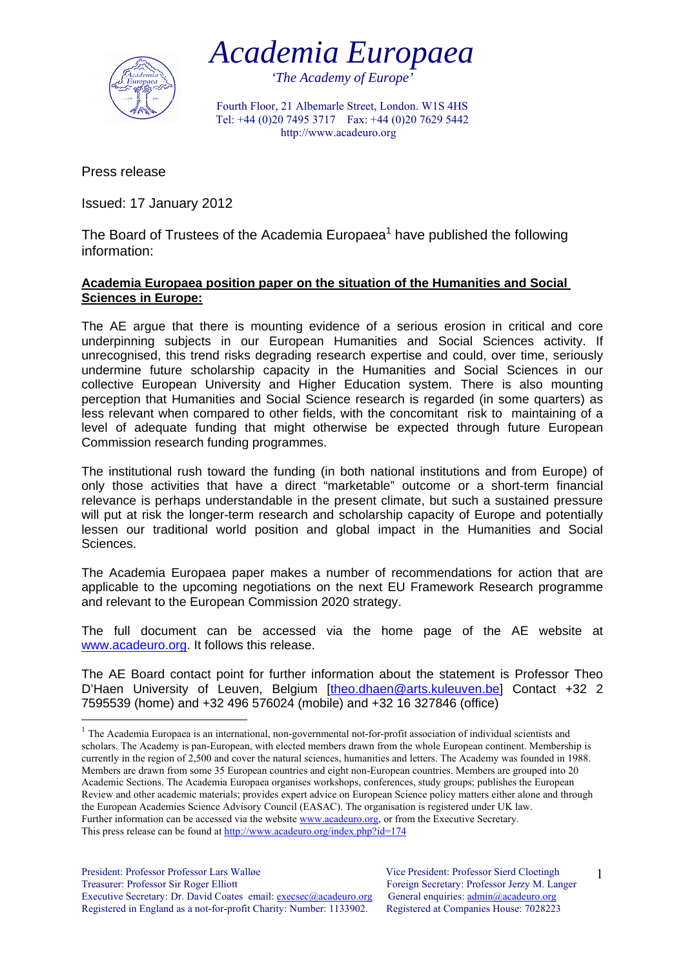



*'The Academy of Europe'* 

Fourth Floor, 21 Albemarle Street, London. W1S 4HS Tel: +44 (0)20 7495 3717 Fax: +44 (0)20 7629 5442 http://www.acadeuro.org

Press release

1

Issued: 17 January 2012

The Board of Trustees of the Academia Europaea<sup>1</sup> have published the following information:

## **Academia Europaea position paper on the situation of the Humanities and Social Sciences in Europe:**

The AE argue that there is mounting evidence of a serious erosion in critical and core underpinning subjects in our European Humanities and Social Sciences activity. If unrecognised, this trend risks degrading research expertise and could, over time, seriously undermine future scholarship capacity in the Humanities and Social Sciences in our collective European University and Higher Education system. There is also mounting perception that Humanities and Social Science research is regarded (in some quarters) as less relevant when compared to other fields, with the concomitant risk to maintaining of a level of adequate funding that might otherwise be expected through future European Commission research funding programmes.

The institutional rush toward the funding (in both national institutions and from Europe) of only those activities that have a direct "marketable" outcome or a short-term financial relevance is perhaps understandable in the present climate, but such a sustained pressure will put at risk the longer-term research and scholarship capacity of Europe and potentially lessen our traditional world position and global impact in the Humanities and Social Sciences.

The Academia Europaea paper makes a number of recommendations for action that are applicable to the upcoming negotiations on the next EU Framework Research programme and relevant to the European Commission 2020 strategy.

The full document can be accessed via the home page of the AE website at www.acadeuro.org. It follows this release.

The AE Board contact point for further information about the statement is Professor Theo D'Haen University of Leuven, Belgium [theo.dhaen@arts.kuleuven.be] Contact +32 2 7595539 (home) and +32 496 576024 (mobile) and +32 16 327846 (office)

1

<sup>&</sup>lt;sup>1</sup> The Academia Europaea is an international, non-governmental not-for-profit association of individual scientists and scholars. The Academy is pan-European, with elected members drawn from the whole European continent. Membership is currently in the region of 2,500 and cover the natural sciences, humanities and letters. The Academy was founded in 1988. Members are drawn from some 35 European countries and eight non-European countries. Members are grouped into 20 Academic Sections. The Academia Europaea organises workshops, conferences, study groups; publishes the European Review and other academic materials; provides expert advice on European Science policy matters either alone and through the European Academies Science Advisory Council (EASAC). The organisation is registered under UK law. Further information can be accessed via the website www.acadeuro.org, or from the Executive Secretary. This press release can be found at http://www.acadeuro.org/index.php?id=174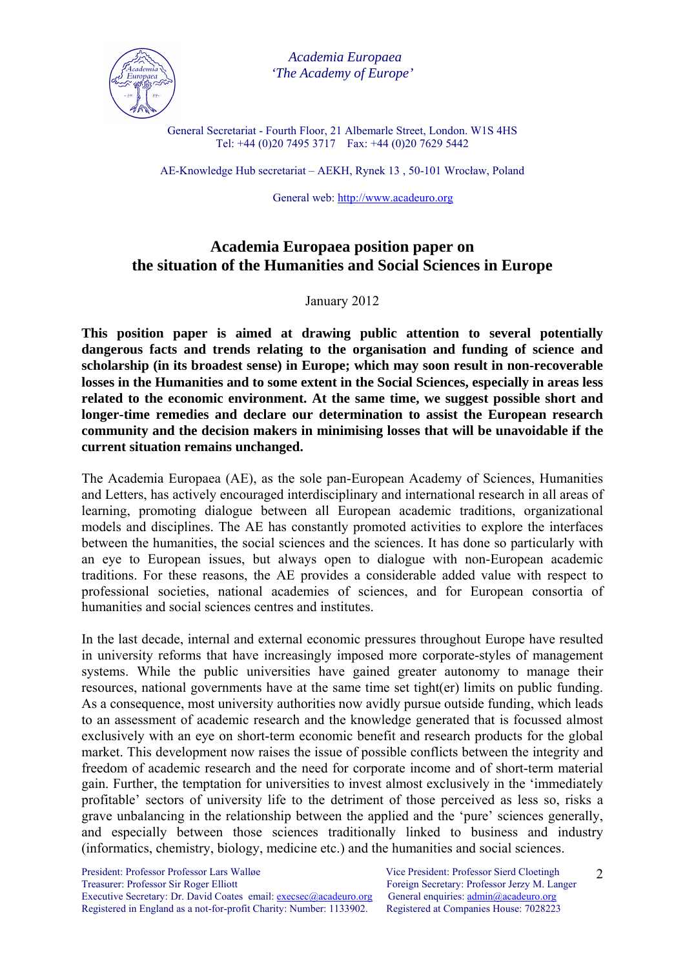

 *Academia Europaea 'The Academy of Europe'* 

General Secretariat - Fourth Floor, 21 Albemarle Street, London. W1S 4HS Tel: +44 (0)20 7495 3717 Fax: +44 (0)20 7629 5442

AE-Knowledge Hub secretariat – AEKH, Rynek 13 , 50-101 Wrocław, Poland

General web: http://www.acadeuro.org

## **Academia Europaea position paper on the situation of the Humanities and Social Sciences in Europe**

## January 2012

**This position paper is aimed at drawing public attention to several potentially dangerous facts and trends relating to the organisation and funding of science and scholarship (in its broadest sense) in Europe; which may soon result in non-recoverable losses in the Humanities and to some extent in the Social Sciences, especially in areas less related to the economic environment. At the same time, we suggest possible short and longer-time remedies and declare our determination to assist the European research community and the decision makers in minimising losses that will be unavoidable if the current situation remains unchanged.** 

The Academia Europaea (AE), as the sole pan-European Academy of Sciences, Humanities and Letters, has actively encouraged interdisciplinary and international research in all areas of learning, promoting dialogue between all European academic traditions, organizational models and disciplines. The AE has constantly promoted activities to explore the interfaces between the humanities, the social sciences and the sciences. It has done so particularly with an eye to European issues, but always open to dialogue with non-European academic traditions. For these reasons, the AE provides a considerable added value with respect to professional societies, national academies of sciences, and for European consortia of humanities and social sciences centres and institutes.

In the last decade, internal and external economic pressures throughout Europe have resulted in university reforms that have increasingly imposed more corporate-styles of management systems. While the public universities have gained greater autonomy to manage their resources, national governments have at the same time set tight(er) limits on public funding. As a consequence, most university authorities now avidly pursue outside funding, which leads to an assessment of academic research and the knowledge generated that is focussed almost exclusively with an eye on short-term economic benefit and research products for the global market. This development now raises the issue of possible conflicts between the integrity and freedom of academic research and the need for corporate income and of short-term material gain. Further, the temptation for universities to invest almost exclusively in the 'immediately profitable' sectors of university life to the detriment of those perceived as less so, risks a grave unbalancing in the relationship between the applied and the 'pure' sciences generally, and especially between those sciences traditionally linked to business and industry (informatics, chemistry, biology, medicine etc.) and the humanities and social sciences.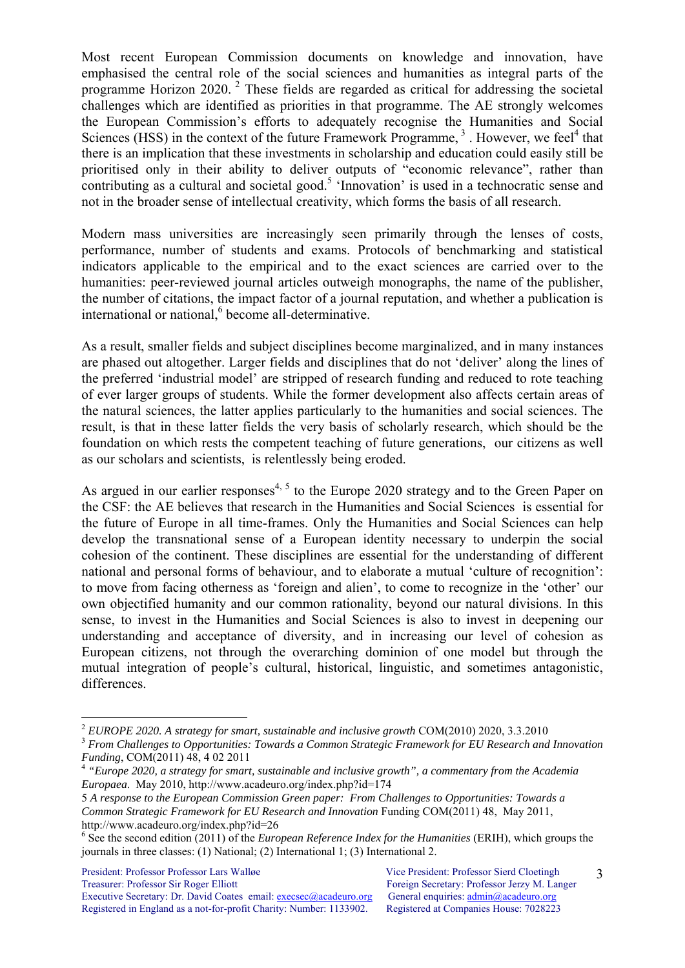Most recent European Commission documents on knowledge and innovation, have emphasised the central role of the social sciences and humanities as integral parts of the programme Horizon 2020.  $2^{\circ}$  These fields are regarded as critical for addressing the societal challenges which are identified as priorities in that programme. The AE strongly welcomes the European Commission's efforts to adequately recognise the Humanities and Social Sciences (HSS) in the context of the future Framework Programme,  $3$ . However, we feel<sup>4</sup> that there is an implication that these investments in scholarship and education could easily still be prioritised only in their ability to deliver outputs of "economic relevance", rather than contributing as a cultural and societal good.<sup>5</sup> 'Innovation' is used in a technocratic sense and not in the broader sense of intellectual creativity, which forms the basis of all research.

Modern mass universities are increasingly seen primarily through the lenses of costs, performance, number of students and exams. Protocols of benchmarking and statistical indicators applicable to the empirical and to the exact sciences are carried over to the humanities: peer-reviewed journal articles outweigh monographs, the name of the publisher, the number of citations, the impact factor of a journal reputation, and whether a publication is international or national,<sup>6</sup> become all-determinative.

As a result, smaller fields and subject disciplines become marginalized, and in many instances are phased out altogether. Larger fields and disciplines that do not 'deliver' along the lines of the preferred 'industrial model' are stripped of research funding and reduced to rote teaching of ever larger groups of students. While the former development also affects certain areas of the natural sciences, the latter applies particularly to the humanities and social sciences. The result, is that in these latter fields the very basis of scholarly research, which should be the foundation on which rests the competent teaching of future generations, our citizens as well as our scholars and scientists, is relentlessly being eroded.

As argued in our earlier responses<sup>4, 5</sup> to the Europe 2020 strategy and to the Green Paper on the CSF: the AE believes that research in the Humanities and Social Sciences is essential for the future of Europe in all time-frames. Only the Humanities and Social Sciences can help develop the transnational sense of a European identity necessary to underpin the social cohesion of the continent. These disciplines are essential for the understanding of different national and personal forms of behaviour, and to elaborate a mutual 'culture of recognition': to move from facing otherness as 'foreign and alien', to come to recognize in the 'other' our own objectified humanity and our common rationality, beyond our natural divisions. In this sense, to invest in the Humanities and Social Sciences is also to invest in deepening our understanding and acceptance of diversity, and in increasing our level of cohesion as European citizens, not through the overarching dominion of one model but through the mutual integration of people's cultural, historical, linguistic, and sometimes antagonistic, differences.

President: Professor Professor Lars Walløe Vice President: Professor Sierd Cloetingh Treasurer: Professor Sir Roger Elliott Foreign Secretary: Professor Jerzy M. Langer Executive Secretary: Dr. David Coates email: execsec@acadeuro.org General enquiries: admin@acadeuro.org Registered in England as a not-for-profit Charity: Number: 1133902. Registered at Companies House: 7028223

<u>.</u>

<sup>&</sup>lt;sup>2</sup> *EUROPE 2020. A strategy for smart, sustainable and inclusive growth* COM(2010) 2020, 3.3.2010<br><sup>3</sup> *From Challenges to Opportunities: Towards a Common Strategic Framework for EU Research and Innovation <i>Funding*, COM(2

<sup>&</sup>lt;sup>4</sup> "Europe 2020, a strategy for smart, sustainable and inclusive growth", a commentary from the Academia *Europaea*. May 2010, http://www.acadeuro.org/index.php?id=174

<sup>5</sup> *A response to the European Commission Green paper: From Challenges to Opportunities: Towards a Common Strategic Framework for EU Research and Innovation* Funding COM(2011) 48, May 2011, http://www.acadeuro.org/index.php?id=26

<sup>6</sup> See the second edition (2011) of the *European Reference Index for the Humanities* (ERIH), which groups the journals in three classes: (1) National; (2) International 1; (3) International 2.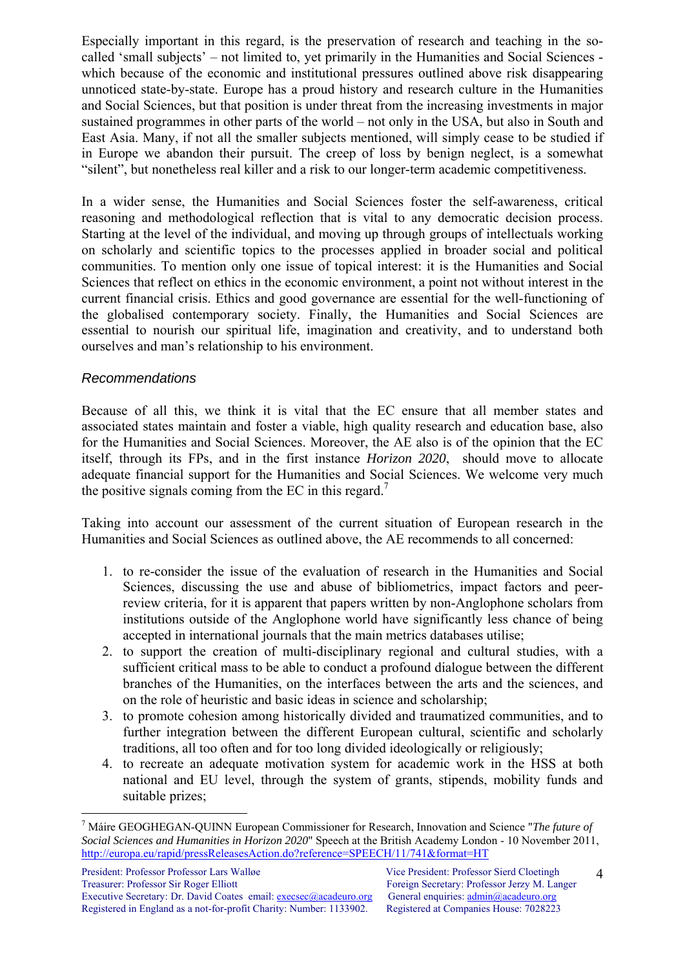Especially important in this regard, is the preservation of research and teaching in the socalled 'small subjects' – not limited to, yet primarily in the Humanities and Social Sciences which because of the economic and institutional pressures outlined above risk disappearing unnoticed state-by-state. Europe has a proud history and research culture in the Humanities and Social Sciences, but that position is under threat from the increasing investments in major sustained programmes in other parts of the world – not only in the USA, but also in South and East Asia. Many, if not all the smaller subjects mentioned, will simply cease to be studied if in Europe we abandon their pursuit. The creep of loss by benign neglect, is a somewhat "silent", but nonetheless real killer and a risk to our longer-term academic competitiveness.

In a wider sense, the Humanities and Social Sciences foster the self-awareness, critical reasoning and methodological reflection that is vital to any democratic decision process. Starting at the level of the individual, and moving up through groups of intellectuals working on scholarly and scientific topics to the processes applied in broader social and political communities. To mention only one issue of topical interest: it is the Humanities and Social Sciences that reflect on ethics in the economic environment, a point not without interest in the current financial crisis. Ethics and good governance are essential for the well-functioning of the globalised contemporary society. Finally, the Humanities and Social Sciences are essential to nourish our spiritual life, imagination and creativity, and to understand both ourselves and man's relationship to his environment.

## *Recommendations*

1

Because of all this, we think it is vital that the EC ensure that all member states and associated states maintain and foster a viable, high quality research and education base, also for the Humanities and Social Sciences. Moreover, the AE also is of the opinion that the EC itself, through its FPs, and in the first instance *Horizon 2020*, should move to allocate adequate financial support for the Humanities and Social Sciences. We welcome very much the positive signals coming from the EC in this regard.<sup>7</sup>

Taking into account our assessment of the current situation of European research in the Humanities and Social Sciences as outlined above, the AE recommends to all concerned:

- 1. to re-consider the issue of the evaluation of research in the Humanities and Social Sciences, discussing the use and abuse of bibliometrics, impact factors and peerreview criteria, for it is apparent that papers written by non-Anglophone scholars from institutions outside of the Anglophone world have significantly less chance of being accepted in international journals that the main metrics databases utilise;
- 2. to support the creation of multi-disciplinary regional and cultural studies, with a sufficient critical mass to be able to conduct a profound dialogue between the different branches of the Humanities, on the interfaces between the arts and the sciences, and on the role of heuristic and basic ideas in science and scholarship;
- 3. to promote cohesion among historically divided and traumatized communities, and to further integration between the different European cultural, scientific and scholarly traditions, all too often and for too long divided ideologically or religiously;
- 4. to recreate an adequate motivation system for academic work in the HSS at both national and EU level, through the system of grants, stipends, mobility funds and suitable prizes;

<sup>7</sup> Máire GEOGHEGAN-QUINN European Commissioner for Research, Innovation and Science "*The future of Social Sciences and Humanities in Horizon 2020*" Speech at the British Academy London - 10 November 2011, http://europa.eu/rapid/pressReleasesAction.do?reference=SPEECH/11/741&format=HT